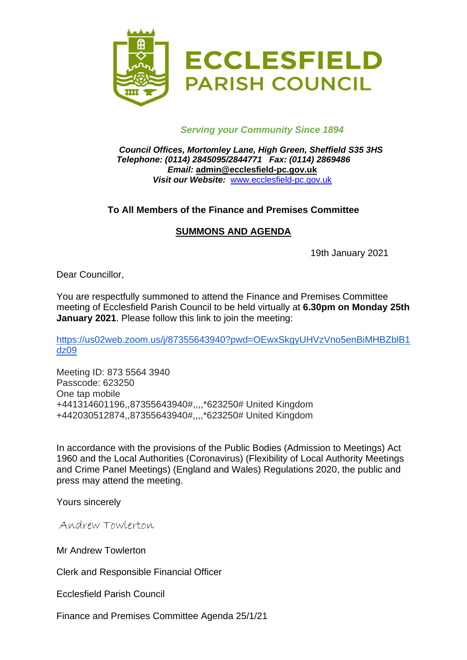

## *Serving your Community Since 1894*

*Council Offices, Mortomley Lane, High Green, Sheffield S35 3HS Telephone: (0114) 2845095/2844771 Fax: (0114) 2869486 Email:* **admin@ecclesfield-pc.gov.uk** *Visit our Website:* [www.ecclesfield-pc.gov.uk](http://www.ecclesfield-pc.gov.uk/)

## **To All Members of the Finance and Premises Committee**

## **SUMMONS AND AGENDA**

19th January 2021

Dear Councillor,

You are respectfully summoned to attend the Finance and Premises Committee meeting of Ecclesfield Parish Council to be held virtually at **6.30pm on Monday 25th January 2021**. Please follow this link to join the meeting:

[https://us02web.zoom.us/j/87355643940?pwd=OEwxSkgyUHVzVno5enBiMHBZblB1](https://us02web.zoom.us/j/87355643940?pwd=OEwxSkgyUHVzVno5enBiMHBZblB1dz09) [dz09](https://us02web.zoom.us/j/87355643940?pwd=OEwxSkgyUHVzVno5enBiMHBZblB1dz09)

Meeting ID: 873 5564 3940 Passcode: 623250 One tap mobile +441314601196,,87355643940#,,,,\*623250# United Kingdom +442030512874,,87355643940#,,,,\*623250# United Kingdom

In accordance with the provisions of the Public Bodies (Admission to Meetings) Act 1960 and the Local Authorities (Coronavirus) (Flexibility of Local Authority Meetings and Crime Panel Meetings) (England and Wales) Regulations 2020, the public and press may attend the meeting.

Yours sincerely

Andrew Towlerton

Mr Andrew Towlerton

Clerk and Responsible Financial Officer

Ecclesfield Parish Council

Finance and Premises Committee Agenda 25/1/21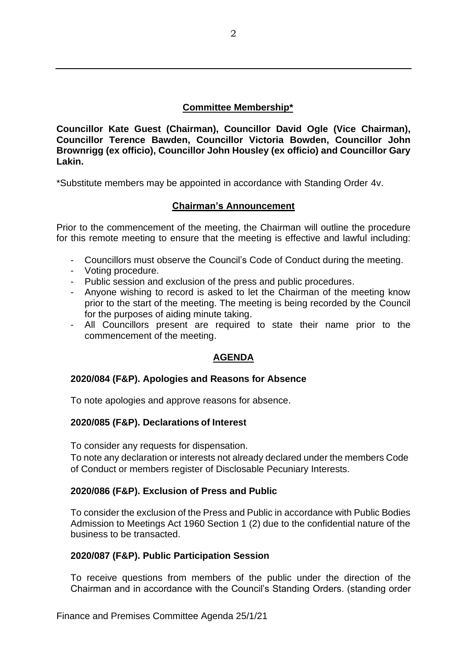## **Committee Membership\***

**Councillor Kate Guest (Chairman), Councillor David Ogle (Vice Chairman), Councillor Terence Bawden, Councillor Victoria Bowden, Councillor John Brownrigg (ex officio), Councillor John Housley (ex officio) and Councillor Gary Lakin.**

\*Substitute members may be appointed in accordance with Standing Order 4v.

## **Chairman's Announcement**

Prior to the commencement of the meeting, the Chairman will outline the procedure for this remote meeting to ensure that the meeting is effective and lawful including:

- Councillors must observe the Council's Code of Conduct during the meeting.
- Voting procedure.
- Public session and exclusion of the press and public procedures.
- Anyone wishing to record is asked to let the Chairman of the meeting know prior to the start of the meeting. The meeting is being recorded by the Council for the purposes of aiding minute taking.
- All Councillors present are required to state their name prior to the commencement of the meeting.

## **AGENDA**

### **2020/084 (F&P). Apologies and Reasons for Absence**

To note apologies and approve reasons for absence.

### **2020/085 (F&P). Declarations of Interest**

To consider any requests for dispensation.

To note any declaration or interests not already declared under the members Code of Conduct or members register of Disclosable Pecuniary Interests.

### **2020/086 (F&P). Exclusion of Press and Public**

To consider the exclusion of the Press and Public in accordance with Public Bodies Admission to Meetings Act 1960 Section 1 (2) due to the confidential nature of the business to be transacted.

### **2020/087 (F&P). Public Participation Session**

To receive questions from members of the public under the direction of the Chairman and in accordance with the Council's Standing Orders. (standing order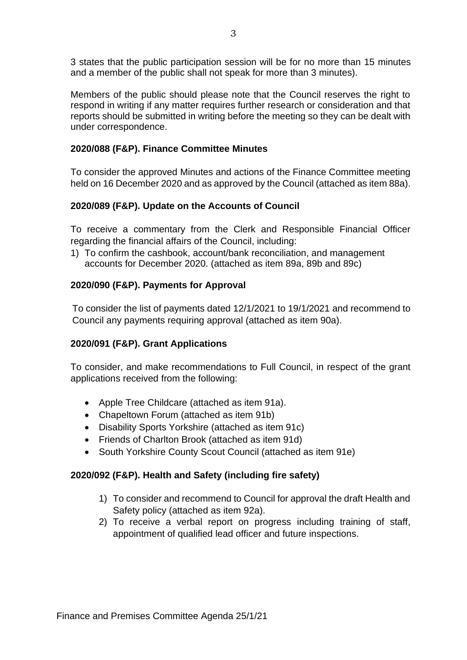3 states that the public participation session will be for no more than 15 minutes and a member of the public shall not speak for more than 3 minutes).

Members of the public should please note that the Council reserves the right to respond in writing if any matter requires further research or consideration and that reports should be submitted in writing before the meeting so they can be dealt with under correspondence.

## **2020/088 (F&P). Finance Committee Minutes**

To consider the approved Minutes and actions of the Finance Committee meeting held on 16 December 2020 and as approved by the Council (attached as item 88a).

## **2020/089 (F&P). Update on the Accounts of Council**

To receive a commentary from the Clerk and Responsible Financial Officer regarding the financial affairs of the Council, including:

1) To confirm the cashbook, account/bank reconciliation, and management accounts for December 2020. (attached as item 89a, 89b and 89c)

## **2020/090 (F&P). Payments for Approval**

To consider the list of payments dated 12/1/2021 to 19/1/2021 and recommend to Council any payments requiring approval (attached as item 90a).

### **2020/091 (F&P). Grant Applications**

To consider, and make recommendations to Full Council, in respect of the grant applications received from the following:

- Apple Tree Childcare (attached as item 91a).
- Chapeltown Forum (attached as item 91b)
- Disability Sports Yorkshire (attached as item 91c)
- Friends of Charlton Brook (attached as item 91d)
- South Yorkshire County Scout Council (attached as item 91e)

### **2020/092 (F&P). Health and Safety (including fire safety)**

- 1) To consider and recommend to Council for approval the draft Health and Safety policy (attached as item 92a).
- 2) To receive a verbal report on progress including training of staff, appointment of qualified lead officer and future inspections.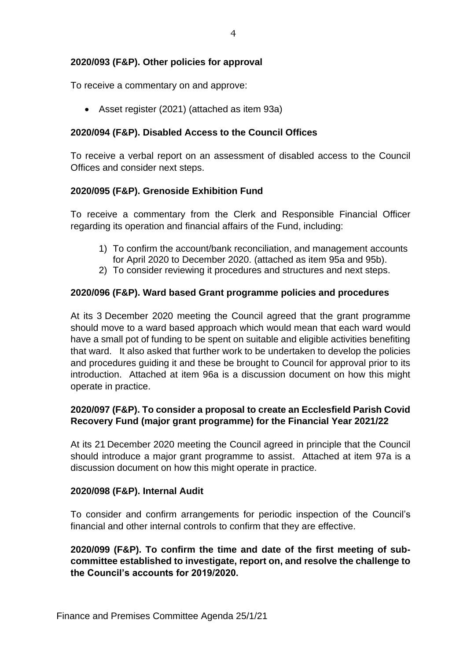### **2020/093 (F&P). Other policies for approval**

To receive a commentary on and approve:

• Asset register (2021) (attached as item 93a)

## **2020/094 (F&P). Disabled Access to the Council Offices**

To receive a verbal report on an assessment of disabled access to the Council Offices and consider next steps.

## **2020/095 (F&P). Grenoside Exhibition Fund**

To receive a commentary from the Clerk and Responsible Financial Officer regarding its operation and financial affairs of the Fund, including:

- 1) To confirm the account/bank reconciliation, and management accounts for April 2020 to December 2020. (attached as item 95a and 95b).
- 2) To consider reviewing it procedures and structures and next steps.

### **2020/096 (F&P). Ward based Grant programme policies and procedures**

At its 3 December 2020 meeting the Council agreed that the grant programme should move to a ward based approach which would mean that each ward would have a small pot of funding to be spent on suitable and eligible activities benefiting that ward. It also asked that further work to be undertaken to develop the policies and procedures guiding it and these be brought to Council for approval prior to its introduction. Attached at item 96a is a discussion document on how this might operate in practice.

## **2020/097 (F&P). To consider a proposal to create an Ecclesfield Parish Covid Recovery Fund (major grant programme) for the Financial Year 2021/22**

At its 21 December 2020 meeting the Council agreed in principle that the Council should introduce a major grant programme to assist. Attached at item 97a is a discussion document on how this might operate in practice.

### **2020/098 (F&P). Internal Audit**

To consider and confirm arrangements for periodic inspection of the Council's financial and other internal controls to confirm that they are effective.

**2020/099 (F&P). To confirm the time and date of the first meeting of subcommittee established to investigate, report on, and resolve the challenge to the Council's accounts for 2019/2020.**